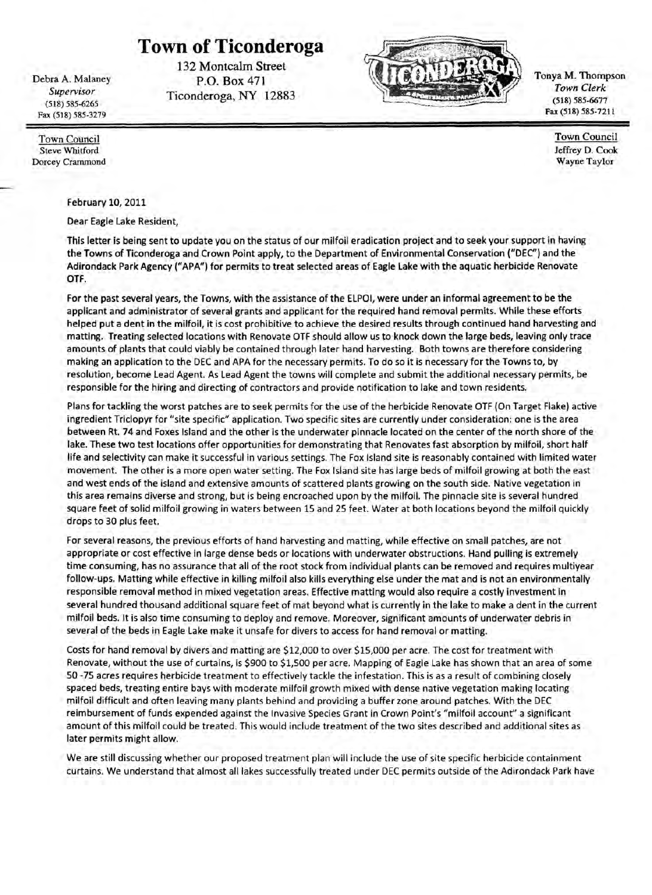## **Town of Ticonderoga**

Debra A. Malaney *Supervisor*  (518) 585-6265 Fax (518) 585-3279

Town Council Steve Whitford Dorcey Crammond

132 Montcalm Street P.O. Box 471 Ticonderoga, NY 12883



Tonya M. Thompson *Town Clerk*  (518) 585-6677 Fax (518) 585-7211

> Town Council Jeffrey D. Cook Wayne Taylor

February 10, 2011

Dear Eagle lake Resident,

This letter is being sent to update you on the status of our milfoil eradication project and to seek your support in having the Towns of Ticonderoga and Crown Point apply, to the Department of Environmental Conservation ("DEC") and the Adirondack Park Agency ("APA") for permits to treat selected areas of Eagle lake with the aquatic herbicide Renovate OTF.

For the past several years, the Towns, with the assistance of the ElPOI, were under an informal agreement to be the applicant and administrator of several grants and applicant for the required hand removal permits. While these efforts helped put a dent in the milfoil, it is cost prohibitive to achieve the desired results through continued hand harvesting and matting. Treating selected locations with Renovate OTF should allow us to knock down the large beds, leaving only trace amounts of plants that could viably be contained through later hand harvesting. Both towns are therefore considering making an application to the DEC and APA for the necessary permits. To do so it is necessary for the Towns to, by resolution, become lead Agent. As lead Agent the towns will complete and submit the additional necessary permits, be responsible for the hiring and directing of contractors and provide notification to lake and town residents.

Plans for tackling the worst patches are to seek permits for the use of the herbicide Renovate OTF (On Target Flake) active ingredient Triclopyr for "site specific" application. Two specific sites are currently under consideration: one is the area between Rt. 74 and Foxes Island and the other is the underwater pinnacle located on the center of the north shore of the lake. These two test locations offer opportunities for demonstrating that Renovates fast absorption by milfoil, short half life and selectivity can make it successful in various settings. The Fox Island site is reasonably contained with limited water movement. The other is a more open water setting. The Fox Island site has large beds of milfoil growing at both the east and west ends of the island and extensive amounts of scattered plants growing on the south side. Native vegetation in this area remains diverse and strong, but is being encroached upon by the milfoil. The pinnacle site is several hundred square feet of solid milfoil growing in waters between 15 and 25 feet. Water at both locations beyond the milfoil quickly drops to 30 plus feet.

For several reasons, the previous efforts of hand harvesting and matting, while effective on small patches, are not appropriate or cost effective in large dense beds or locations with underwater obstructions. Hand pulling is extremely time consuming, has no assurance that all of the root stock from individual plants can be removed and requires multiyear follow-ups. Matting while effective in killing milfoil also kills everything else under the mat and is not an environmentally responsible removal method in mixed vegetation areas. Effective matting would also require a costly investment in several hundred thousand additional square feet of mat beyond what is currently in the lake to make a dent in the current milfoil beds. It is also time consuming to deploy and remove. Moreover, significant amounts of underwater debris in several of the beds in Eagle Lake make it unsafe for divers to access for hand removal or matting.

Costs for hand removal by divers and matting are \$12,000 to over \$15,000 per acre. The cost for treatment with Renovate, without the use of curtains, is \$900 to \$1,500 per acre. Mapping of Eagle Lake has shown that an area of some 50 -75 acres requires herbicide treatment to effectively tackle the infestation. This is as a result of combining closely spaced beds, treating entire bays with moderate milfoil growth mixed with dense native vegetation making locating milfoil difficult and often leaving many plants behind and providing a buffer zone around patches. With the DEC reimbursement of funds expended against the Invasive Species Grant in Crown Point's "milfoil account" a significant amount of this milfoil could be treated. This would include treatment of the two sites described and additional sites as later permits might allow.

We are still discussing whether our proposed treatment plan will include the use of site specific herbicide containment curtains. We understand that almost all lakes successfully treated under DEC permits outside of the Adirondack Park have